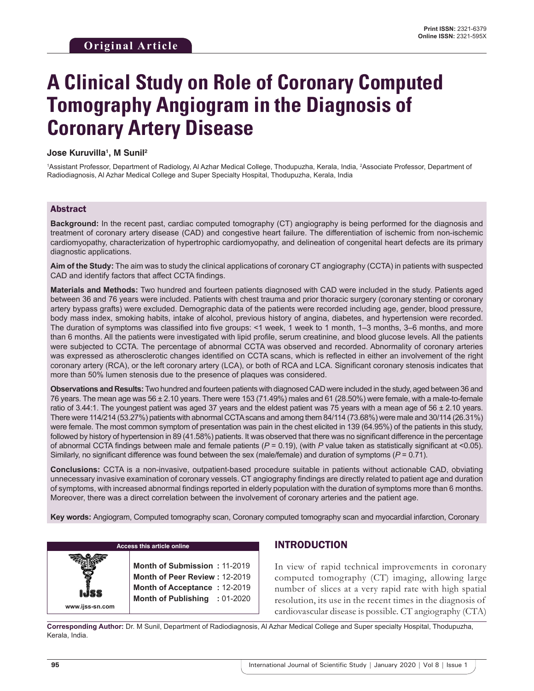# **A Clinical Study on Role of Coronary Computed Tomography Angiogram in the Diagnosis of Coronary Artery Disease**

## **Jose Kuruvilla1 , M Sunil2**

1Assistant Professor, Department of Radiology, Al Azhar Medical College, Thodupuzha, Kerala, India, <sup>2</sup>Associate Professor, Department of Radiodiagnosis, Al Azhar Medical College and Super Specialty Hospital, Thodupuzha, Kerala, India

## Abstract

**Background:** In the recent past, cardiac computed tomography (CT) angiography is being performed for the diagnosis and treatment of coronary artery disease (CAD) and congestive heart failure. The differentiation of ischemic from non-ischemic cardiomyopathy, characterization of hypertrophic cardiomyopathy, and delineation of congenital heart defects are its primary diagnostic applications.

**Aim of the Study:** The aim was to study the clinical applications of coronary CT angiography (CCTA) in patients with suspected CAD and identify factors that affect CCTA findings.

**Materials and Methods:** Two hundred and fourteen patients diagnosed with CAD were included in the study. Patients aged between 36 and 76 years were included. Patients with chest trauma and prior thoracic surgery (coronary stenting or coronary artery bypass grafts) were excluded. Demographic data of the patients were recorded including age, gender, blood pressure, body mass index, smoking habits, intake of alcohol, previous history of angina, diabetes, and hypertension were recorded. The duration of symptoms was classified into five groups: <1 week, 1 week to 1 month, 1–3 months, 3–6 months, and more than 6 months. All the patients were investigated with lipid profile, serum creatinine, and blood glucose levels. All the patients were subjected to CCTA. The percentage of abnormal CCTA was observed and recorded. Abnormality of coronary arteries was expressed as atherosclerotic changes identified on CCTA scans, which is reflected in either an involvement of the right coronary artery (RCA), or the left coronary artery (LCA), or both of RCA and LCA. Significant coronary stenosis indicates that more than 50% lumen stenosis due to the presence of plaques was considered.

**Observations and Results:** Two hundred and fourteen patients with diagnosed CAD were included in the study, aged between 36 and 76 years. The mean age was 56 ± 2.10 years. There were 153 (71.49%) males and 61 (28.50%) were female, with a male-to-female ratio of 3.44:1. The youngest patient was aged 37 years and the eldest patient was 75 years with a mean age of  $56 \pm 2.10$  years. There were 114/214 (53.27%) patients with abnormal CCTA scans and among them 84/114 (73.68%) were male and 30/114 (26.31%) were female. The most common symptom of presentation was pain in the chest elicited in 139 (64.95%) of the patients in this study, followed by history of hypertension in 89 (41.58%) patients. It was observed that there was no significant difference in the percentage of abnormal CCTA findings between male and female patients (*P* = 0.19), (with *P* value taken as statistically significant at <0.05). Similarly, no significant difference was found between the sex (male/female) and duration of symptoms (*P* = 0.71).

**Conclusions:** CCTA is a non-invasive, outpatient-based procedure suitable in patients without actionable CAD, obviating unnecessary invasive examination of coronary vessels. CT angiography findings are directly related to patient age and duration of symptoms, with increased abnormal findings reported in elderly population with the duration of symptoms more than 6 months. Moreover, there was a direct correlation between the involvement of coronary arteries and the patient age.

**Key words:** Angiogram, Computed tomography scan, Coronary computed tomography scan and myocardial infarction, Coronary

**Access this article online**

**Month of Submission :** 11-2019 **Month of Peer Review :** 12-2019 **Month of Acceptance :** 12-2019 **Month of Publishing :** 01-2020

## INTRODUCTION

In view of rapid technical improvements in coronary computed tomography (CT) imaging, allowing large number of slices at a very rapid rate with high spatial resolution, its use in the recent times in the diagnosis of cardiovascular disease is possible. CT angiography (CTA)

**Corresponding Author:** Dr. M Sunil, Department of Radiodiagnosis, Al Azhar Medical College and Super specialty Hospital, Thodupuzha, Kerala, India.

**www.ijss-sn.com**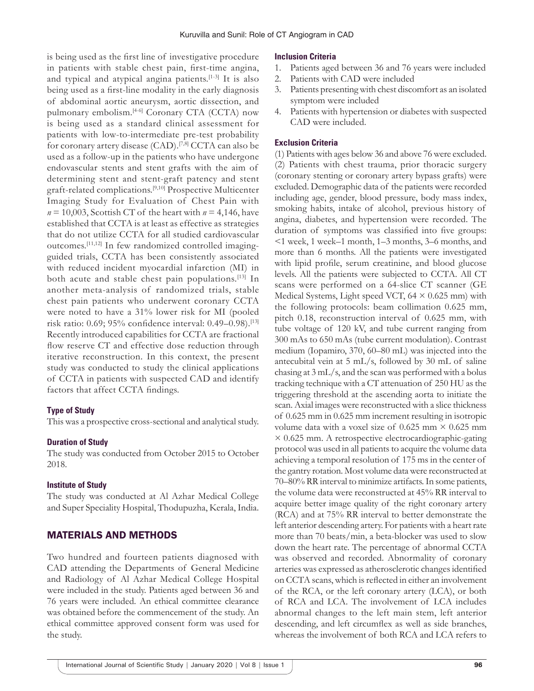is being used as the first line of investigative procedure in patients with stable chest pain, first-time angina, and typical and atypical angina patients.[1-3] It is also being used as a first-line modality in the early diagnosis of abdominal aortic aneurysm, aortic dissection, and pulmonary embolism.<sup>[4-6]</sup> Coronary CTA (CCTA) now is being used as a standard clinical assessment for patients with low-to-intermediate pre-test probability for coronary artery disease (CAD).[7,8] CCTA can also be used as a follow-up in the patients who have undergone endovascular stents and stent grafts with the aim of determining stent and stent-graft patency and stent graft-related complications.[9,10] Prospective Multicenter Imaging Study for Evaluation of Chest Pain with  $n = 10,003$ , Scottish CT of the heart with  $n = 4,146$ , have established that CCTA is at least as effective as strategies that do not utilize CCTA for all studied cardiovascular outcomes.[11,12] In few randomized controlled imagingguided trials, CCTA has been consistently associated with reduced incident myocardial infarction (MI) in both acute and stable chest pain populations.[13] In another meta-analysis of randomized trials, stable chest pain patients who underwent coronary CCTA were noted to have a 31% lower risk for MI (pooled risk ratio: 0.69; 95% confidence interval: 0.49–0.98).[13] Recently introduced capabilities for CCTA are fractional flow reserve CT and effective dose reduction through iterative reconstruction. In this context, the present study was conducted to study the clinical applications of CCTA in patients with suspected CAD and identify factors that affect CCTA findings.

## **Type of Study**

This was a prospective cross-sectional and analytical study.

## **Duration of Study**

The study was conducted from October 2015 to October 2018.

#### **Institute of Study**

The study was conducted at Al Azhar Medical College and Super Speciality Hospital, Thodupuzha, Kerala, India.

## MATERIALS AND METHODS

Two hundred and fourteen patients diagnosed with CAD attending the Departments of General Medicine and Radiology of Al Azhar Medical College Hospital were included in the study. Patients aged between 36 and 76 years were included. An ethical committee clearance was obtained before the commencement of the study. An ethical committee approved consent form was used for the study.

## **Inclusion Criteria**

- 1. Patients aged between 36 and 76 years were included
- 2. Patients with CAD were included
- 3. Patients presenting with chest discomfort as an isolated symptom were included
- 4. Patients with hypertension or diabetes with suspected CAD were included.

## **Exclusion Criteria**

(1) Patients with ages below 36 and above 76 were excluded. (2) Patients with chest trauma, prior thoracic surgery (coronary stenting or coronary artery bypass grafts) were excluded. Demographic data of the patients were recorded including age, gender, blood pressure, body mass index, smoking habits, intake of alcohol, previous history of angina, diabetes, and hypertension were recorded. The duration of symptoms was classified into five groups: <1 week, 1 week–1 month, 1–3 months, 3–6 months, and more than 6 months. All the patients were investigated with lipid profile, serum creatinine, and blood glucose levels. All the patients were subjected to CCTA. All CT scans were performed on a 64-slice CT scanner (GE Medical Systems, Light speed VCT,  $64 \times 0.625$  mm) with the following protocols: beam collimation 0.625 mm, pitch 0.18, reconstruction interval of 0.625 mm, with tube voltage of 120 kV, and tube current ranging from 300 mAs to 650 mAs (tube current modulation). Contrast medium (Iopamiro, 370, 60–80 mL) was injected into the antecubital vein at 5 mL/s, followed by 30 mL of saline chasing at 3 mL/s, and the scan was performed with a bolus tracking technique with a CT attenuation of 250 HU as the triggering threshold at the ascending aorta to initiate the scan. Axial images were reconstructed with a slice thickness of 0.625 mm in 0.625 mm increment resulting in isotropic volume data with a voxel size of  $0.625$  mm  $\times$   $0.625$  mm  $\times$  0.625 mm. A retrospective electrocardiographic-gating protocol was used in all patients to acquire the volume data achieving a temporal resolution of 175 ms in the center of the gantry rotation. Most volume data were reconstructed at 70–80% RR interval to minimize artifacts. In some patients, the volume data were reconstructed at 45% RR interval to acquire better image quality of the right coronary artery (RCA) and at 75% RR interval to better demonstrate the left anterior descending artery. For patients with a heart rate more than 70 beats/min, a beta-blocker was used to slow down the heart rate. The percentage of abnormal CCTA was observed and recorded. Abnormality of coronary arteries was expressed as atherosclerotic changes identified on CCTA scans, which is reflected in either an involvement of the RCA, or the left coronary artery (LCA), or both of RCA and LCA. The involvement of LCA includes abnormal changes to the left main stem, left anterior descending, and left circumflex as well as side branches, whereas the involvement of both RCA and LCA refers to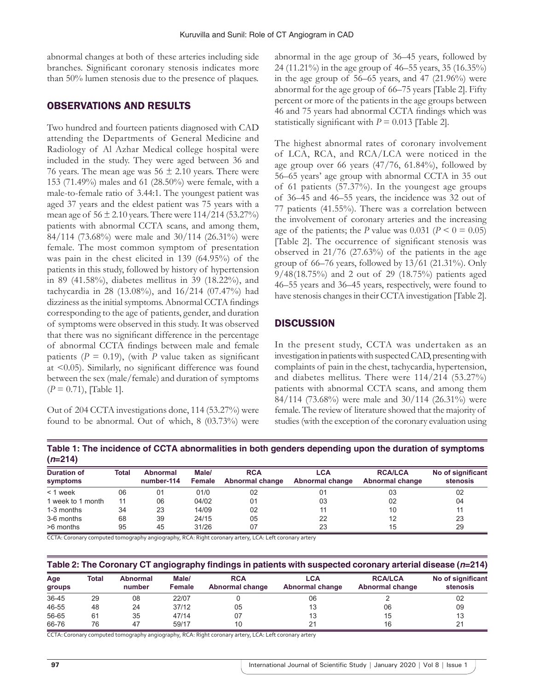abnormal changes at both of these arteries including side branches. Significant coronary stenosis indicates more than 50% lumen stenosis due to the presence of plaques.

## OBSERVATIONS AND RESULTS

Two hundred and fourteen patients diagnosed with CAD attending the Departments of General Medicine and Radiology of Al Azhar Medical college hospital were included in the study. They were aged between 36 and 76 years. The mean age was  $56 \pm 2.10$  years. There were 153 (71.49%) males and 61 (28.50%) were female, with a male-to-female ratio of 3.44:1. The youngest patient was aged 37 years and the eldest patient was 75 years with a mean age of  $56 \pm 2.10$  years. There were 114/214 (53.27%) patients with abnormal CCTA scans, and among them, 84/114 (73.68%) were male and 30/114 (26.31%) were female. The most common symptom of presentation was pain in the chest elicited in 139 (64.95%) of the patients in this study, followed by history of hypertension in 89 (41.58%), diabetes mellitus in 39 (18.22%), and tachycardia in 28 (13.08%), and 16/214 (07.47%) had dizziness as the initial symptoms. Abnormal CCTA findings corresponding to the age of patients, gender, and duration of symptoms were observed in this study. It was observed that there was no significant difference in the percentage of abnormal CCTA findings between male and female patients  $(P = 0.19)$ , (with *P* value taken as significant at <0.05). Similarly, no significant difference was found between the sex (male/female) and duration of symptoms  $(P = 0.71)$ , [Table 1].

Out of 204 CCTA investigations done, 114 (53.27%) were found to be abnormal. Out of which, 8 (03.73%) were abnormal in the age group of 36–45 years, followed by 24 (11.21%) in the age group of 46–55 years, 35 (16.35%) in the age group of 56–65 years, and 47 (21.96%) were abnormal for the age group of 66–75 years [Table 2]. Fifty percent or more of the patients in the age groups between 46 and 75 years had abnormal CCTA findings which was statistically significant with  $P = 0.013$  [Table 2].

The highest abnormal rates of coronary involvement of LCA, RCA, and RCA/LCA were noticed in the age group over 66 years  $(47/76, 61.84\%)$ , followed by 56–65 years' age group with abnormal CCTA in 35 out of 61 patients (57.37%). In the youngest age groups of 36–45 and 46–55 years, the incidence was 32 out of 77 patients (41.55%). There was a correlation between the involvement of coronary arteries and the increasing age of the patients; the *P* value was 0.031 ( $P < 0 = 0.05$ ) [Table 2]. The occurrence of significant stenosis was observed in  $21/76$  (27.63%) of the patients in the age group of 66–76 years, followed by 13/61 (21.31%). Only 9/48(18.75%) and 2 out of 29 (18.75%) patients aged 46–55 years and 36–45 years, respectively, were found to have stenosis changes in their CCTA investigation [Table 2].

## **DISCUSSION**

In the present study, CCTA was undertaken as an investigation in patients with suspected CAD, presenting with complaints of pain in the chest, tachycardia, hypertension, and diabetes mellitus. There were 114/214 (53.27%) patients with abnormal CCTA scans, and among them 84/114 (73.68%) were male and 30/114 (26.31%) were female. The review of literature showed that the majority of studies (with the exception of the coronary evaluation using

**Table 1: The incidence of CCTA abnormalities in both genders depending upon the duration of symptoms (***n***=214)**

| <b>Duration of</b><br>symptoms | Total | <b>Abnormal</b><br>number-114 | Male/<br>Female | <b>RCA</b><br>Abnormal change | <b>LCA</b><br><b>Abnormal change</b> | <b>RCA/LCA</b><br><b>Abnormal change</b> | No of significant<br>stenosis |
|--------------------------------|-------|-------------------------------|-----------------|-------------------------------|--------------------------------------|------------------------------------------|-------------------------------|
| $< 1$ week                     | 06    | 01                            | 01/0            | 02                            | 01                                   | 03                                       | 02                            |
| 1 week to 1 month              | 11    | 06                            | 04/02           | 01                            | 03                                   | 02                                       | 04                            |
| 1-3 months                     | 34    | 23                            | 14/09           | 02                            |                                      | 10                                       |                               |
| 3-6 months                     | 68    | 39                            | 24/15           | 05                            | 22                                   | 12                                       | 23                            |
| >6 months                      | 95    | 45                            | 31/26           | 07                            | 23                                   | 15                                       | 29                            |

CCTA: Coronary computed tomography angiography, RCA: Right coronary artery, LCA: Left coronary artery

|  | Table 2: The Coronary CT angiography findings in patients with suspected coronary arterial disease (n=214) |  |  |
|--|------------------------------------------------------------------------------------------------------------|--|--|
|--|------------------------------------------------------------------------------------------------------------|--|--|

| Age<br>groups | Total | <b>Abnormal</b><br>number | Male/<br>Female | <b>RCA</b><br><b>Abnormal change</b> | <b>LCA</b><br><b>Abnormal change</b> | <b>RCA/LCA</b><br>Abnormal change | No of significant<br><b>stenosis</b> |
|---------------|-------|---------------------------|-----------------|--------------------------------------|--------------------------------------|-----------------------------------|--------------------------------------|
| 36-45         | 29    | 08                        | 22/07           |                                      | 06                                   |                                   | 02                                   |
| 46-55         | 48    | 24                        | 37/12           | 05                                   |                                      | 06                                | 09                                   |
| 56-65         | 61    | 35                        | 47/14           | 07                                   |                                      | 15                                | 13                                   |
| 66-76         | 76    | 47                        | 59/17           | 10                                   |                                      | 16                                | 21                                   |

CCTA: Coronary computed tomography angiography, RCA: Right coronary artery, LCA: Left coronary artery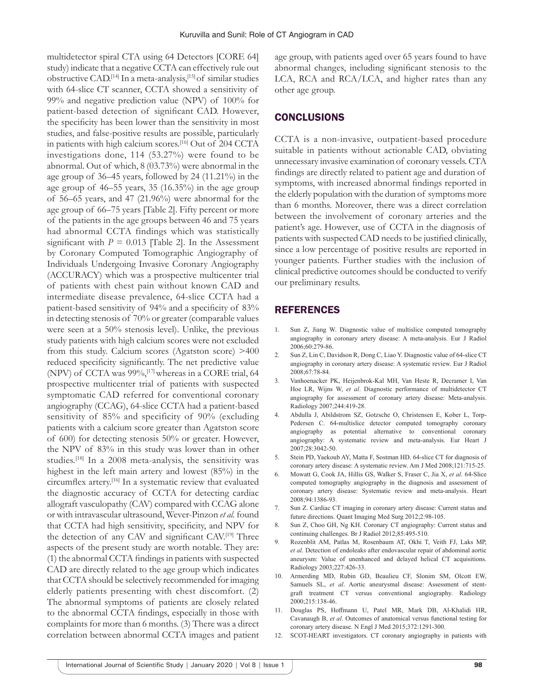multidetector spiral CTA using 64 Detectors [CORE 64] study) indicate that a negative CCTA can effectively rule out obstructive CAD.[14] In a meta-analysis,[15] of similar studies with 64-slice CT scanner, CCTA showed a sensitivity of 99% and negative prediction value (NPV) of 100% for patient-based detection of significant CAD. However, the specificity has been lower than the sensitivity in most studies, and false-positive results are possible, particularly in patients with high calcium scores.[16] Out of 204 CCTA investigations done, 114 (53.27%) were found to be abnormal. Out of which, 8 (03.73%) were abnormal in the age group of 36–45 years, followed by 24 (11.21%) in the age group of 46–55 years, 35 (16.35%) in the age group of 56–65 years, and 47 (21.96%) were abnormal for the age group of 66–75 years [Table 2]. Fifty percent or more of the patients in the age groups between 46 and 75 years had abnormal CCTA findings which was statistically significant with  $P = 0.013$  [Table 2]. In the Assessment by Coronary Computed Tomographic Angiography of Individuals Undergoing Invasive Coronary Angiography (ACCURACY) which was a prospective multicenter trial of patients with chest pain without known CAD and intermediate disease prevalence, 64-slice CCTA had a patient-based sensitivity of 94% and a specificity of 83% in detecting stenosis of 70% or greater (comparable values were seen at a 50% stenosis level). Unlike, the previous study patients with high calcium scores were not excluded from this study. Calcium scores (Agatston score) >400 reduced specificity significantly. The net predictive value (NPV) of CCTA was 99%,[17] whereas in a CORE trial, 64 prospective multicenter trial of patients with suspected symptomatic CAD referred for conventional coronary angiography (CCAG), 64-slice CCTA had a patient-based sensitivity of 85% and specificity of 90% (excluding patients with a calcium score greater than Agatston score of 600) for detecting stenosis 50% or greater. However, the NPV of 83% in this study was lower than in other studies.[18] In a 2008 meta-analysis, the sensitivity was highest in the left main artery and lowest (85%) in the circumflex artery.[16] In a systematic review that evaluated the diagnostic accuracy of CCTA for detecting cardiac allograft vasculopathy (CAV) compared with CCAG alone or with intravascular ultrasound, Wever-Pinzon *et al.* found that CCTA had high sensitivity, specificity, and NPV for the detection of any CAV and significant CAV.<sup>[19]</sup> Three aspects of the present study are worth notable. They are: (1) the abnormal CCTA findings in patients with suspected CAD are directly related to the age group which indicates that CCTA should be selectively recommended for imaging elderly patients presenting with chest discomfort. (2) The abnormal symptoms of patients are closely related to the abnormal CCTA findings, especially in those with complaints for more than 6 months. (3) There was a direct correlation between abnormal CCTA images and patient

age group, with patients aged over 65 years found to have abnormal changes, including significant stenosis to the LCA, RCA and RCA/LCA, and higher rates than any other age group.

## CONCLUSIONS

CCTA is a non-invasive, outpatient-based procedure suitable in patients without actionable CAD, obviating unnecessary invasive examination of coronary vessels. CTA findings are directly related to patient age and duration of symptoms, with increased abnormal findings reported in the elderly population with the duration of symptoms more than 6 months. Moreover, there was a direct correlation between the involvement of coronary arteries and the patient's age. However, use of CCTA in the diagnosis of patients with suspected CAD needs to be justified clinically, since a low percentage of positive results are reported in younger patients. Further studies with the inclusion of clinical predictive outcomes should be conducted to verify our preliminary results.

## REFERENCES

- 1. Sun Z, Jiang W. Diagnostic value of multislice computed tomography angiography in coronary artery disease: A meta-analysis. Eur J Radiol 2006;60:279-86.
- 2. Sun Z, Lin C, Davidson R, Dong C, Liao Y. Diagnostic value of 64-slice CT angiography in coronary artery disease: A systematic review. Eur J Radiol 2008;67:78-84.
- 3. Vanhoenacker PK, Heijenbrok-Kal MH, Van Heste R, Decramer I, Van Hoe LR, Wijns W, *et al*. Diagnostic performance of multidetector CT angiography for assessment of coronary artery disease: Meta-analysis. Radiology 2007;244:419-28.
- 4. Abdulla J, Abildstrom SZ, Gotzsche O, Christensen E, Kober L, Torp-Pedersen C. 64-multislice detector computed tomography coronary angiography as potential alternative to conventional coronary angiography: A systematic review and meta-analysis. Eur Heart J 2007;28:3042-50.
- 5. Stein PD, Yaekoub AY, Matta F, Sostman HD. 64-slice CT for diagnosis of coronary artery disease: A systematic review. Am J Med 2008;121:715-25.
- 6. Mowatt G, Cook JA, Hillis GS, Walker S, Fraser C, Jia X, *et al*. 64-Slice computed tomography angiography in the diagnosis and assessment of coronary artery disease: Systematic review and meta-analysis. Heart 2008;94:1386-93.
- 7. Sun Z. Cardiac CT imaging in coronary artery disease: Current status and future directions. Quant Imaging Med Surg 2012;2:98-105.
- 8. Sun Z, Choo GH, Ng KH. Coronary CT angiography: Current status and continuing challenges. Br J Radiol 2012;85:495-510.
- 9. Rozenblit AM, Patlas M, Rosenbaum AT, Okhi T, Veith FJ, Laks MP, *et al*. Detection of endoleaks after endovascular repair of abdominal aortic aneurysm: Value of unenhanced and delayed helical CT acquisitions. Radiology 2003;227:426-33.
- 10. Armerding MD, Rubin GD, Beaulieu CF, Slonim SM, Olcott EW, Samuels SL, *et al*. Aortic aneurysmal disease: Assessment of stentgraft treatment CT versus conventional angiography. Radiology 2000;215:138-46.
- 11. Douglas PS, Hoffmann U, Patel MR, Mark DB, Al-Khalidi HR, Cavanaugh B, *et al*. Outcomes of anatomical versus functional testing for coronary artery disease. N Engl J Med 2015;372:1291-300.
- 12. SCOT-HEART investigators. CT coronary angiography in patients with